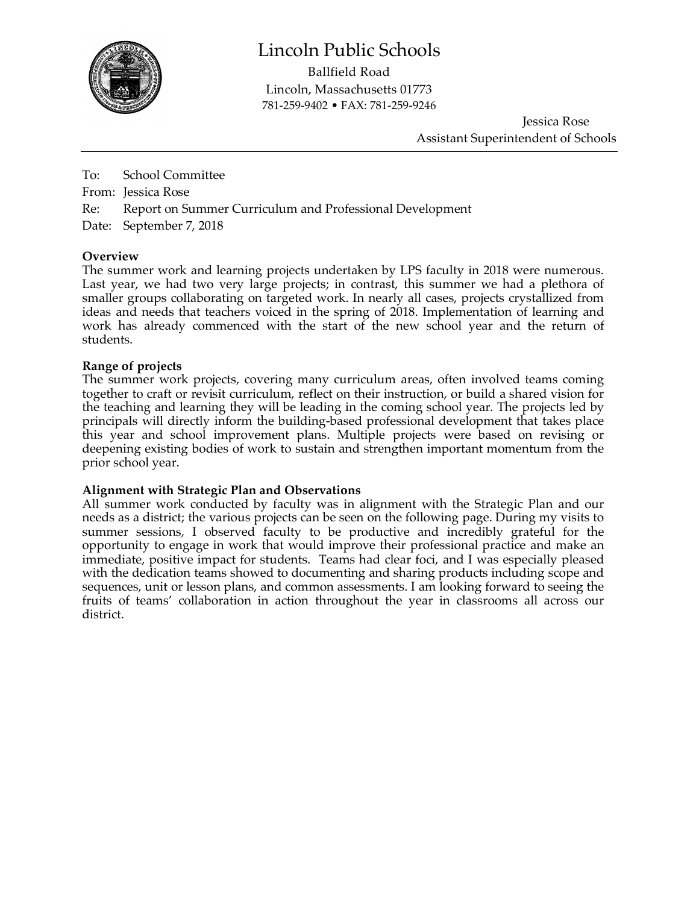

## Lincoln Public Schools

Ballfield Road Lincoln, Massachusetts 01773 781-259-9402 • FAX: 781-259-9246

> Jessica Rose Assistant Superintendent of Schools

To: School Committee From: Jessica Rose Re: Report on Summer Curriculum and Professional Development Date: September 7, 2018

### **Overview**

The summer work and learning projects undertaken by LPS faculty in 2018 were numerous. Last year, we had two very large projects; in contrast, this summer we had a plethora of smaller groups collaborating on targeted work. In nearly all cases, projects crystallized from ideas and needs that teachers voiced in the spring of 2018. Implementation of learning and work has already commenced with the start of the new school year and the return of students.

#### **Range of projects**

The summer work projects, covering many curriculum areas, often involved teams coming together to craft or revisit curriculum, reflect on their instruction, or build a shared vision for the teaching and learning they will be leading in the coming school year. The projects led by principals will directly inform the building-based professional development that takes place this year and school improvement plans. Multiple projects were based on revising or deepening existing bodies of work to sustain and strengthen important momentum from the prior school year.

#### **Alignment with Strategic Plan and Observations**

All summer work conducted by faculty was in alignment with the Strategic Plan and our needs as a district; the various projects can be seen on the following page. During my visits to summer sessions, I observed faculty to be productive and incredibly grateful for the opportunity to engage in work that would improve their professional practice and make an immediate, positive impact for students. Teams had clear foci, and I was especially pleased with the dedication teams showed to documenting and sharing products including scope and sequences, unit or lesson plans, and common assessments. I am looking forward to seeing the fruits of teams' collaboration in action throughout the year in classrooms all across our district.